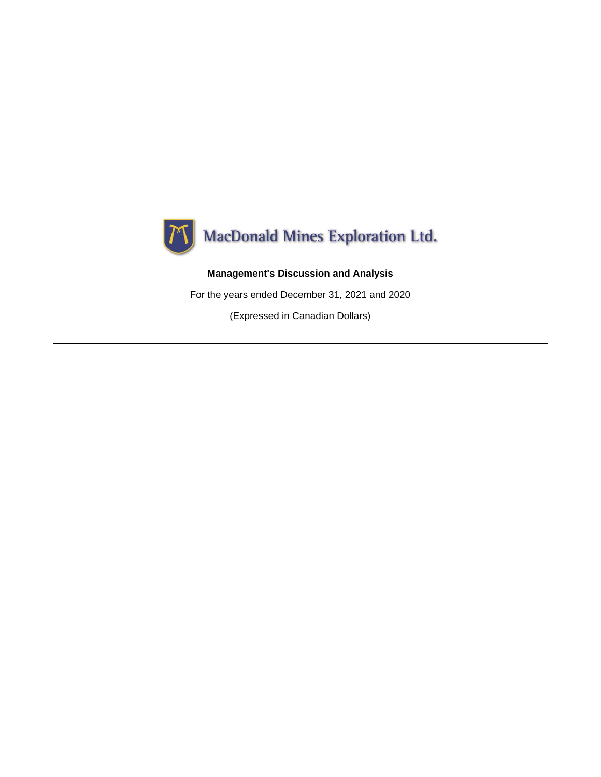

# **Management's Discussion and Analysis**

For the years ended December 31, 2021 and 2020

(Expressed in Canadian Dollars)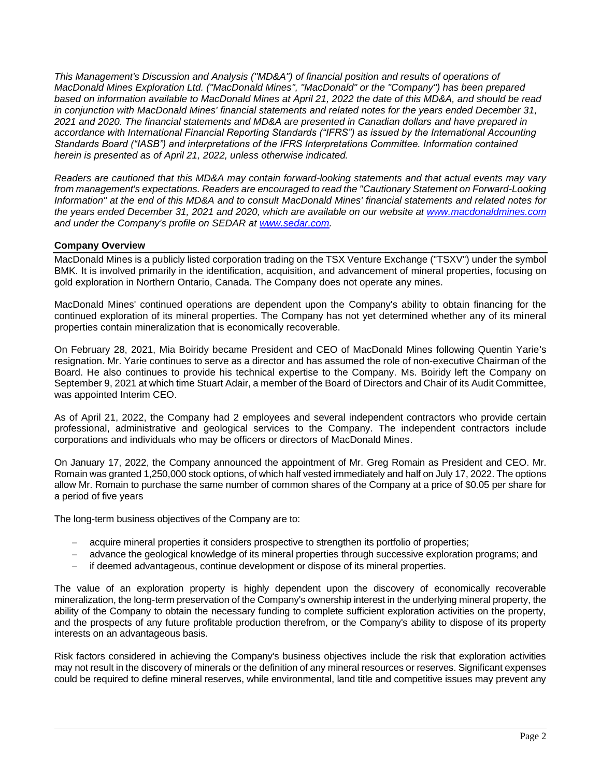*This Management's Discussion and Analysis ("MD&A") of financial position and results of operations of MacDonald Mines Exploration Ltd. ("MacDonald Mines", "MacDonald" or the "Company") has been prepared based on information available to MacDonald Mines at April 21, 2022 the date of this MD&A, and should be read in conjunction with MacDonald Mines' financial statements and related notes for the years ended December 31, 2021 and 2020. The financial statements and MD&A are presented in Canadian dollars and have prepared in accordance with International Financial Reporting Standards ("IFRS") as issued by the International Accounting Standards Board ("IASB") and interpretations of the IFRS Interpretations Committee. Information contained herein is presented as of April 21, 2022, unless otherwise indicated.*

*Readers are cautioned that this MD&A may contain forward-looking statements and that actual events may vary from management's expectations. Readers are encouraged to read the "Cautionary Statement on Forward-Looking Information" at the end of this MD&A and to consult MacDonald Mines' financial statements and related notes for the years ended December 31, 2021 and 2020, which are available on our website at [www.macdonaldmines.com](http://www.macdonaldmines.com/) and under the Company's profile on SEDAR at [www.sedar.com.](http://www.sedar.com/)*

## **Company Overview**

MacDonald Mines is a publicly listed corporation trading on the TSX Venture Exchange ("TSXV") under the symbol BMK. It is involved primarily in the identification, acquisition, and advancement of mineral properties, focusing on gold exploration in Northern Ontario, Canada. The Company does not operate any mines.

MacDonald Mines' continued operations are dependent upon the Company's ability to obtain financing for the continued exploration of its mineral properties. The Company has not yet determined whether any of its mineral properties contain mineralization that is economically recoverable.

On February 28, 2021, Mia Boiridy became President and CEO of MacDonald Mines following Quentin Yarie's resignation. Mr. Yarie continues to serve as a director and has assumed the role of non-executive Chairman of the Board. He also continues to provide his technical expertise to the Company. Ms. Boiridy left the Company on September 9, 2021 at which time Stuart Adair, a member of the Board of Directors and Chair of its Audit Committee, was appointed Interim CEO.

As of April 21, 2022, the Company had 2 employees and several independent contractors who provide certain professional, administrative and geological services to the Company. The independent contractors include corporations and individuals who may be officers or directors of MacDonald Mines.

On January 17, 2022, the Company announced the appointment of Mr. Greg Romain as President and CEO. Mr. Romain was granted 1,250,000 stock options, of which half vested immediately and half on July 17, 2022. The options allow Mr. Romain to purchase the same number of common shares of the Company at a price of \$0.05 per share for a period of five years

The long-term business objectives of the Company are to:

- − acquire mineral properties it considers prospective to strengthen its portfolio of properties;
- − advance the geological knowledge of its mineral properties through successive exploration programs; and
- − if deemed advantageous, continue development or dispose of its mineral properties.

The value of an exploration property is highly dependent upon the discovery of economically recoverable mineralization, the long-term preservation of the Company's ownership interest in the underlying mineral property, the ability of the Company to obtain the necessary funding to complete sufficient exploration activities on the property, and the prospects of any future profitable production therefrom, or the Company's ability to dispose of its property interests on an advantageous basis.

Risk factors considered in achieving the Company's business objectives include the risk that exploration activities may not result in the discovery of minerals or the definition of any mineral resources or reserves. Significant expenses could be required to define mineral reserves, while environmental, land title and competitive issues may prevent any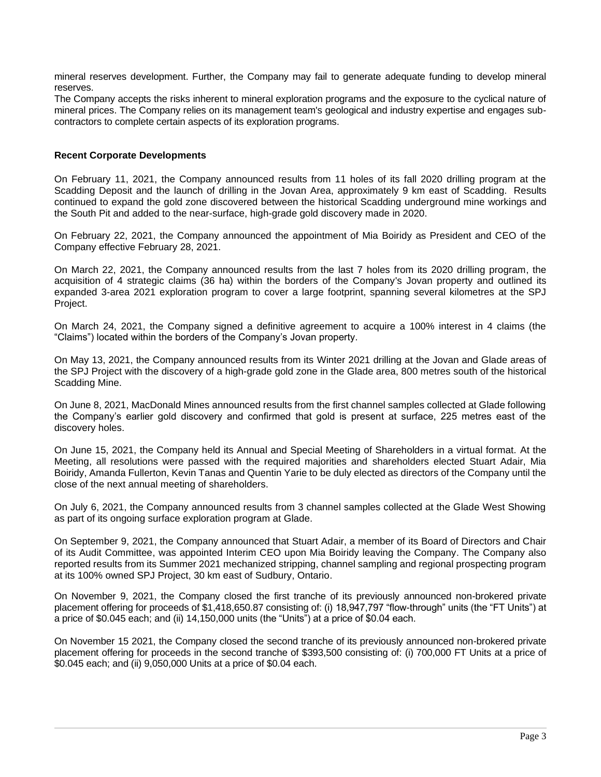mineral reserves development. Further, the Company may fail to generate adequate funding to develop mineral reserves.

The Company accepts the risks inherent to mineral exploration programs and the exposure to the cyclical nature of mineral prices. The Company relies on its management team's geological and industry expertise and engages subcontractors to complete certain aspects of its exploration programs.

### **Recent Corporate Developments**

On February 11, 2021, the Company announced results from 11 holes of its fall 2020 drilling program at the Scadding Deposit and the launch of drilling in the Jovan Area, approximately 9 km east of Scadding. Results continued to expand the gold zone discovered between the historical Scadding underground mine workings and the South Pit and added to the near-surface, high-grade gold discovery made in 2020.

On February 22, 2021, the Company announced the appointment of Mia Boiridy as President and CEO of the Company effective February 28, 2021.

On March 22, 2021, the Company announced results from the last 7 holes from its 2020 drilling program, the acquisition of 4 strategic claims (36 ha) within the borders of the Company's Jovan property and outlined its expanded 3-area 2021 exploration program to cover a large footprint, spanning several kilometres at the SPJ Project.

On March 24, 2021, the Company signed a definitive agreement to acquire a 100% interest in 4 claims (the "Claims") located within the borders of the Company's Jovan property.

On May 13, 2021, the Company announced results from its Winter 2021 drilling at the Jovan and Glade areas of the SPJ Project with the discovery of a high-grade gold zone in the Glade area, 800 metres south of the historical Scadding Mine.

On June 8, 2021, MacDonald Mines announced results from the first channel samples collected at Glade following the Company's earlier gold discovery and confirmed that gold is present at surface, 225 metres east of the discovery holes.

On June 15, 2021, the Company held its Annual and Special Meeting of Shareholders in a virtual format. At the Meeting, all resolutions were passed with the required majorities and shareholders elected Stuart Adair, Mia Boiridy, Amanda Fullerton, Kevin Tanas and Quentin Yarie to be duly elected as directors of the Company until the close of the next annual meeting of shareholders.

On July 6, 2021, the Company announced results from 3 channel samples collected at the Glade West Showing as part of its ongoing surface exploration program at Glade.

On September 9, 2021, the Company announced that Stuart Adair, a member of its Board of Directors and Chair of its Audit Committee, was appointed Interim CEO upon Mia Boiridy leaving the Company. The Company also reported results from its Summer 2021 mechanized stripping, channel sampling and regional prospecting program at its 100% owned SPJ Project, 30 km east of Sudbury, Ontario.

On November 9, 2021, the Company closed the first tranche of its previously announced non-brokered private placement offering for proceeds of \$1,418,650.87 consisting of: (i) 18,947,797 "flow-through" units (the "FT Units") at a price of \$0.045 each; and (ii) 14,150,000 units (the "Units") at a price of \$0.04 each.

On November 15 2021, the Company closed the second tranche of its previously announced non-brokered private placement offering for proceeds in the second tranche of \$393,500 consisting of: (i) 700,000 FT Units at a price of \$0.045 each; and (ii) 9,050,000 Units at a price of \$0.04 each.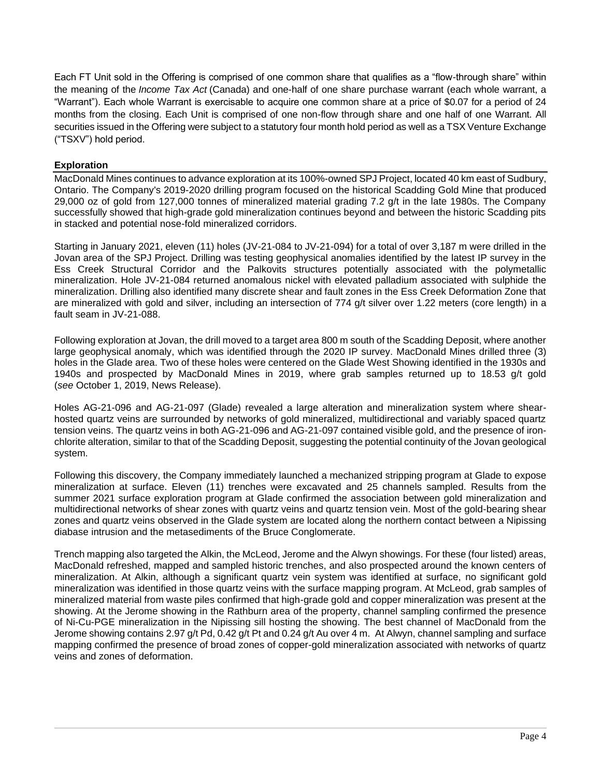Each FT Unit sold in the Offering is comprised of one common share that qualifies as a "flow-through share" within the meaning of the *Income Tax Act* (Canada) and one-half of one share purchase warrant (each whole warrant, a "Warrant"). Each whole Warrant is exercisable to acquire one common share at a price of \$0.07 for a period of 24 months from the closing. Each Unit is comprised of one non-flow through share and one half of one Warrant. All securities issued in the Offering were subject to a statutory four month hold period as well as a TSX Venture Exchange ("TSXV") hold period.

## **Exploration**

MacDonald Mines continues to advance exploration at its 100%-owned SPJ Project, located 40 km east of Sudbury, Ontario. The Company's 2019-2020 drilling program focused on the historical Scadding Gold Mine that produced 29,000 oz of gold from 127,000 tonnes of mineralized material grading 7.2 g/t in the late 1980s. The Company successfully showed that high-grade gold mineralization continues beyond and between the historic Scadding pits in stacked and potential nose-fold mineralized corridors.

Starting in January 2021, eleven (11) holes (JV-21-084 to JV-21-094) for a total of over 3,187 m were drilled in the Jovan area of the SPJ Project. Drilling was testing geophysical anomalies identified by the latest IP survey in the Ess Creek Structural Corridor and the Palkovits structures potentially associated with the polymetallic mineralization. Hole JV-21-084 returned anomalous nickel with elevated palladium associated with sulphide the mineralization. Drilling also identified many discrete shear and fault zones in the Ess Creek Deformation Zone that are mineralized with gold and silver, including an intersection of 774 g/t silver over 1.22 meters (core length) in a fault seam in JV-21-088.

Following exploration at Jovan, the drill moved to a target area 800 m south of the Scadding Deposit, where another large geophysical anomaly, which was identified through the 2020 IP survey. MacDonald Mines drilled three (3) holes in the Glade area. Two of these holes were centered on the Glade West Showing identified in the 1930s and 1940s and prospected by MacDonald Mines in 2019, where grab samples returned up to 18.53 g/t gold (*see* October 1, 2019, News Release).

Holes AG-21-096 and AG-21-097 (Glade) revealed a large alteration and mineralization system where shearhosted quartz veins are surrounded by networks of gold mineralized, multidirectional and variably spaced quartz tension veins. The quartz veins in both AG-21-096 and AG-21-097 contained visible gold, and the presence of ironchlorite alteration, similar to that of the Scadding Deposit, suggesting the potential continuity of the Jovan geological system.

Following this discovery, the Company immediately launched a mechanized stripping program at Glade to expose mineralization at surface. Eleven (11) trenches were excavated and 25 channels sampled. Results from the summer 2021 surface exploration program at Glade confirmed the association between gold mineralization and multidirectional networks of shear zones with quartz veins and quartz tension vein. Most of the gold-bearing shear zones and quartz veins observed in the Glade system are located along the northern contact between a Nipissing diabase intrusion and the metasediments of the Bruce Conglomerate.

Trench mapping also targeted the Alkin, the McLeod, Jerome and the Alwyn showings. For these (four listed) areas, MacDonald refreshed, mapped and sampled historic trenches, and also prospected around the known centers of mineralization. At Alkin, although a significant quartz vein system was identified at surface, no significant gold mineralization was identified in those quartz veins with the surface mapping program. At McLeod, grab samples of mineralized material from waste piles confirmed that high-grade gold and copper mineralization was present at the showing. At the Jerome showing in the Rathburn area of the property, channel sampling confirmed the presence of Ni-Cu-PGE mineralization in the Nipissing sill hosting the showing. The best channel of MacDonald from the Jerome showing contains 2.97 g/t Pd, 0.42 g/t Pt and 0.24 g/t Au over 4 m. At Alwyn, channel sampling and surface mapping confirmed the presence of broad zones of copper-gold mineralization associated with networks of quartz veins and zones of deformation.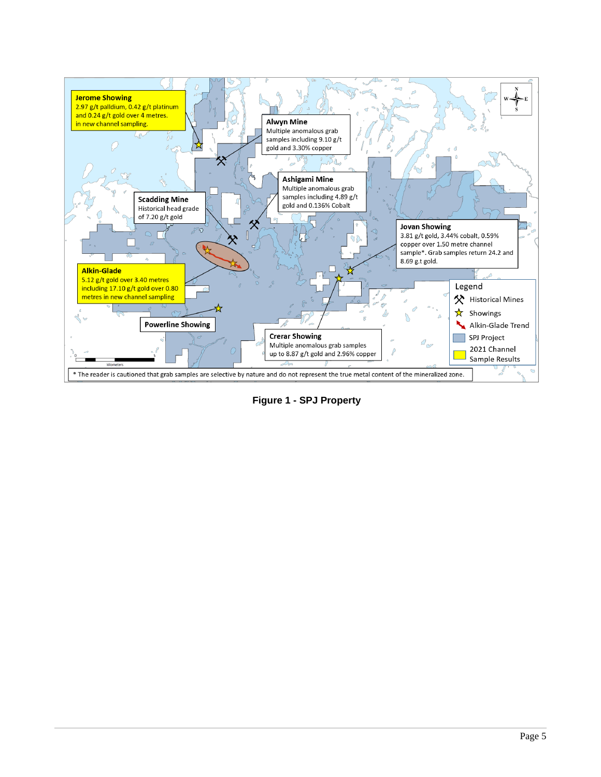

**Figure 1 - SPJ Property**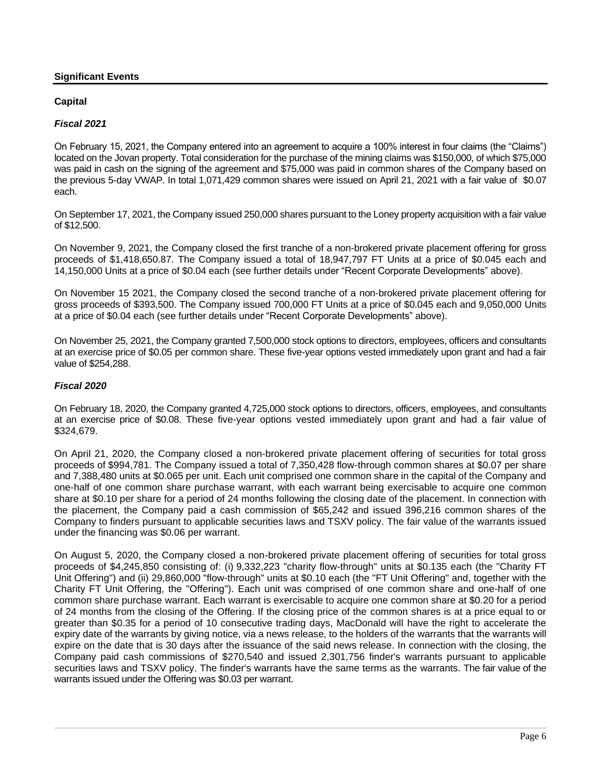## **Significant Events**

## **Capital**

## *Fiscal 2021*

On February 15, 2021, the Company entered into an agreement to acquire a 100% interest in four claims (the "Claims") located on the Jovan property. Total consideration for the purchase of the mining claims was \$150,000, of which \$75,000 was paid in cash on the signing of the agreement and \$75,000 was paid in common shares of the Company based on the previous 5-day VWAP. In total 1,071,429 common shares were issued on April 21, 2021 with a fair value of \$0.07 each.

On September 17, 2021, the Company issued 250,000 shares pursuant to the Loney property acquisition with a fair value of \$12,500.

On November 9, 2021, the Company closed the first tranche of a non-brokered private placement offering for gross proceeds of \$1,418,650.87. The Company issued a total of 18,947,797 FT Units at a price of \$0.045 each and 14,150,000 Units at a price of \$0.04 each (see further details under "Recent Corporate Developments" above).

On November 15 2021, the Company closed the second tranche of a non-brokered private placement offering for gross proceeds of \$393,500. The Company issued 700,000 FT Units at a price of \$0.045 each and 9,050,000 Units at a price of \$0.04 each (see further details under "Recent Corporate Developments" above).

On November 25, 2021, the Company granted 7,500,000 stock options to directors, employees, officers and consultants at an exercise price of \$0.05 per common share. These five-year options vested immediately upon grant and had a fair value of \$254,288.

## *Fiscal 2020*

On February 18, 2020, the Company granted 4,725,000 stock options to directors, officers, employees, and consultants at an exercise price of \$0.08. These five-year options vested immediately upon grant and had a fair value of \$324,679.

On April 21, 2020, the Company closed a non-brokered private placement offering of securities for total gross proceeds of \$994,781. The Company issued a total of 7,350,428 flow-through common shares at \$0.07 per share and 7,388,480 units at \$0.065 per unit. Each unit comprised one common share in the capital of the Company and one-half of one common share purchase warrant, with each warrant being exercisable to acquire one common share at \$0.10 per share for a period of 24 months following the closing date of the placement. In connection with the placement, the Company paid a cash commission of \$65,242 and issued 396,216 common shares of the Company to finders pursuant to applicable securities laws and TSXV policy. The fair value of the warrants issued under the financing was \$0.06 per warrant.

On August 5, 2020, the Company closed a non-brokered private placement offering of securities for total gross proceeds of \$4,245,850 consisting of: (i) 9,332,223 "charity flow-through" units at \$0.135 each (the "Charity FT Unit Offering") and (ii) 29,860,000 "flow-through" units at \$0.10 each (the "FT Unit Offering" and, together with the Charity FT Unit Offering, the "Offering"). Each unit was comprised of one common share and one-half of one common share purchase warrant. Each warrant is exercisable to acquire one common share at \$0.20 for a period of 24 months from the closing of the Offering. If the closing price of the common shares is at a price equal to or greater than \$0.35 for a period of 10 consecutive trading days, MacDonald will have the right to accelerate the expiry date of the warrants by giving notice, via a news release, to the holders of the warrants that the warrants will expire on the date that is 30 days after the issuance of the said news release. In connection with the closing, the Company paid cash commissions of \$270,540 and issued 2,301,756 finder's warrants pursuant to applicable securities laws and TSXV policy. The finder's warrants have the same terms as the warrants. The fair value of the warrants issued under the Offering was \$0.03 per warrant.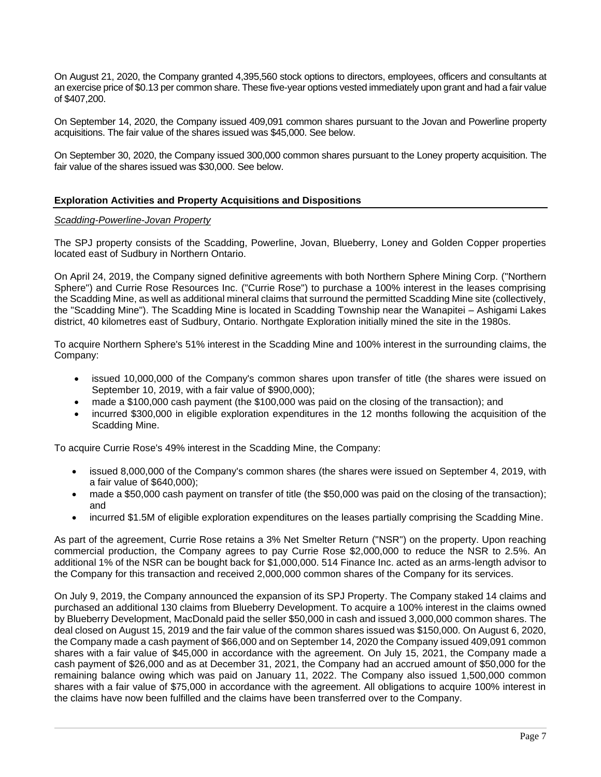On August 21, 2020, the Company granted 4,395,560 stock options to directors, employees, officers and consultants at an exercise price of \$0.13 per common share. These five-year options vested immediately upon grant and had a fair value of \$407,200.

On September 14, 2020, the Company issued 409,091 common shares pursuant to the Jovan and Powerline property acquisitions. The fair value of the shares issued was \$45,000. See below.

On September 30, 2020, the Company issued 300,000 common shares pursuant to the Loney property acquisition. The fair value of the shares issued was \$30,000. See below.

## **Exploration Activities and Property Acquisitions and Dispositions**

#### *Scadding-Powerline-Jovan Property*

The SPJ property consists of the Scadding, Powerline, Jovan, Blueberry, Loney and Golden Copper properties located east of Sudbury in Northern Ontario.

On April 24, 2019, the Company signed definitive agreements with both Northern Sphere Mining Corp. ("Northern Sphere") and Currie Rose Resources Inc. ("Currie Rose") to purchase a 100% interest in the leases comprising the Scadding Mine, as well as additional mineral claims that surround the permitted Scadding Mine site (collectively, the "Scadding Mine"). The Scadding Mine is located in Scadding Township near the Wanapitei – Ashigami Lakes district, 40 kilometres east of Sudbury, Ontario. Northgate Exploration initially mined the site in the 1980s.

To acquire Northern Sphere's 51% interest in the Scadding Mine and 100% interest in the surrounding claims, the Company:

- issued 10,000,000 of the Company's common shares upon transfer of title (the shares were issued on September 10, 2019, with a fair value of \$900,000);
- made a \$100,000 cash payment (the \$100,000 was paid on the closing of the transaction); and
- incurred \$300,000 in eligible exploration expenditures in the 12 months following the acquisition of the Scadding Mine.

To acquire Currie Rose's 49% interest in the Scadding Mine, the Company:

- issued 8,000,000 of the Company's common shares (the shares were issued on September 4, 2019, with a fair value of \$640,000);
- made a \$50,000 cash payment on transfer of title (the \$50,000 was paid on the closing of the transaction); and
- incurred \$1.5M of eligible exploration expenditures on the leases partially comprising the Scadding Mine.

As part of the agreement, Currie Rose retains a 3% Net Smelter Return ("NSR") on the property. Upon reaching commercial production, the Company agrees to pay Currie Rose \$2,000,000 to reduce the NSR to 2.5%. An additional 1% of the NSR can be bought back for \$1,000,000. 514 Finance Inc. acted as an arms-length advisor to the Company for this transaction and received 2,000,000 common shares of the Company for its services.

On July 9, 2019, the Company announced the expansion of its SPJ Property. The Company staked 14 claims and purchased an additional 130 claims from Blueberry Development. To acquire a 100% interest in the claims owned by Blueberry Development, MacDonald paid the seller \$50,000 in cash and issued 3,000,000 common shares. The deal closed on August 15, 2019 and the fair value of the common shares issued was \$150,000. On August 6, 2020, the Company made a cash payment of \$66,000 and on September 14, 2020 the Company issued 409,091 common shares with a fair value of \$45,000 in accordance with the agreement. On July 15, 2021, the Company made a cash payment of \$26,000 and as at December 31, 2021, the Company had an accrued amount of \$50,000 for the remaining balance owing which was paid on January 11, 2022. The Company also issued 1,500,000 common shares with a fair value of \$75,000 in accordance with the agreement. All obligations to acquire 100% interest in the claims have now been fulfilled and the claims have been transferred over to the Company.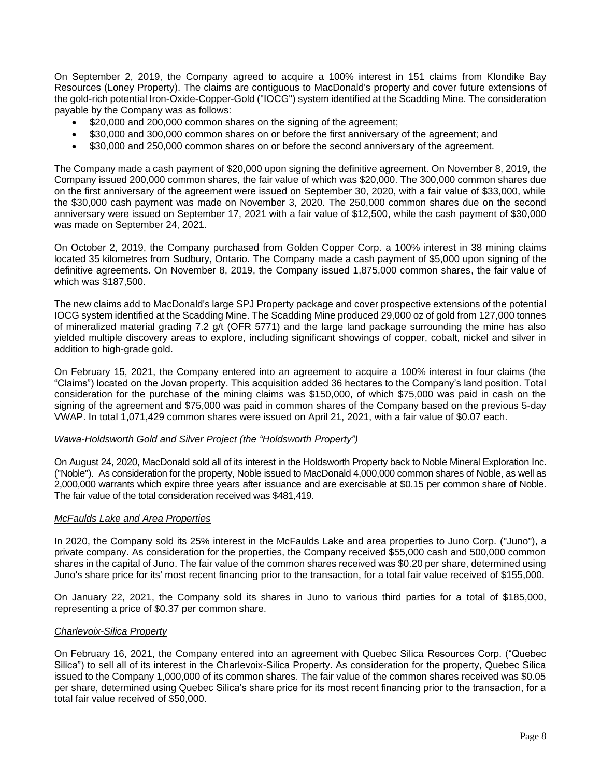On September 2, 2019, the Company agreed to acquire a 100% interest in 151 claims from Klondike Bay Resources (Loney Property). The claims are contiguous to MacDonald's property and cover future extensions of the gold-rich potential Iron-Oxide-Copper-Gold ("IOCG") system identified at the Scadding Mine. The consideration payable by the Company was as follows:

- \$20,000 and 200,000 common shares on the signing of the agreement;
- \$30,000 and 300,000 common shares on or before the first anniversary of the agreement; and
- \$30,000 and 250,000 common shares on or before the second anniversary of the agreement.

The Company made a cash payment of \$20,000 upon signing the definitive agreement. On November 8, 2019, the Company issued 200,000 common shares, the fair value of which was \$20,000. The 300,000 common shares due on the first anniversary of the agreement were issued on September 30, 2020, with a fair value of \$33,000, while the \$30,000 cash payment was made on November 3, 2020. The 250,000 common shares due on the second anniversary were issued on September 17, 2021 with a fair value of \$12,500, while the cash payment of \$30,000 was made on September 24, 2021.

On October 2, 2019, the Company purchased from Golden Copper Corp. a 100% interest in 38 mining claims located 35 kilometres from Sudbury, Ontario. The Company made a cash payment of \$5,000 upon signing of the definitive agreements. On November 8, 2019, the Company issued 1,875,000 common shares, the fair value of which was \$187,500.

The new claims add to MacDonald's large SPJ Property package and cover prospective extensions of the potential IOCG system identified at the Scadding Mine. The Scadding Mine produced 29,000 oz of gold from 127,000 tonnes of mineralized material grading 7.2 g/t (OFR 5771) and the large land package surrounding the mine has also yielded multiple discovery areas to explore, including significant showings of copper, cobalt, nickel and silver in addition to high-grade gold.

On February 15, 2021, the Company entered into an agreement to acquire a 100% interest in four claims (the "Claims") located on the Jovan property. This acquisition added 36 hectares to the Company's land position. Total consideration for the purchase of the mining claims was \$150,000, of which \$75,000 was paid in cash on the signing of the agreement and \$75,000 was paid in common shares of the Company based on the previous 5-day VWAP. In total 1,071,429 common shares were issued on April 21, 2021, with a fair value of \$0.07 each.

#### *Wawa-Holdsworth Gold and Silver Project (the "Holdsworth Property")*

On August 24, 2020, MacDonald sold all of its interest in the Holdsworth Property back to Noble Mineral Exploration Inc. ("Noble"). As consideration for the property, Noble issued to MacDonald 4,000,000 common shares of Noble, as well as 2,000,000 warrants which expire three years after issuance and are exercisable at \$0.15 per common share of Noble. The fair value of the total consideration received was \$481,419.

#### *McFaulds Lake and Area Properties*

In 2020, the Company sold its 25% interest in the McFaulds Lake and area properties to Juno Corp. ("Juno"), a private company. As consideration for the properties, the Company received \$55,000 cash and 500,000 common shares in the capital of Juno. The fair value of the common shares received was \$0.20 per share, determined using Juno's share price for its' most recent financing prior to the transaction, for a total fair value received of \$155,000.

On January 22, 2021, the Company sold its shares in Juno to various third parties for a total of \$185,000, representing a price of \$0.37 per common share.

#### *Charlevoix-Silica Property*

On February 16, 2021, the Company entered into an agreement with Quebec Silica Resources Corp. ("Quebec Silica") to sell all of its interest in the Charlevoix-Silica Property. As consideration for the property, Quebec Silica issued to the Company 1,000,000 of its common shares. The fair value of the common shares received was \$0.05 per share, determined using Quebec Silica's share price for its most recent financing prior to the transaction, for a total fair value received of \$50,000.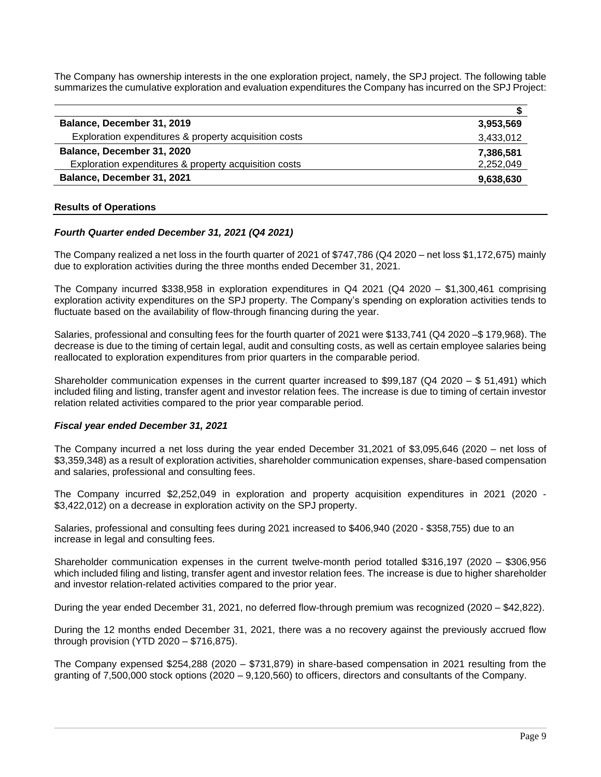The Company has ownership interests in the one exploration project, namely, the SPJ project. The following table summarizes the cumulative exploration and evaluation expenditures the Company has incurred on the SPJ Project:

| Balance, December 31, 2019                            | 3,953,569 |
|-------------------------------------------------------|-----------|
| Exploration expenditures & property acquisition costs | 3,433,012 |
| Balance, December 31, 2020                            | 7,386,581 |
| Exploration expenditures & property acquisition costs | 2,252,049 |
| Balance, December 31, 2021                            | 9,638,630 |

### **Results of Operations**

### *Fourth Quarter ended December 31, 2021 (Q4 2021)*

The Company realized a net loss in the fourth quarter of 2021 of \$747,786 (Q4 2020 – net loss \$1,172,675) mainly due to exploration activities during the three months ended December 31, 2021.

The Company incurred \$338,958 in exploration expenditures in Q4 2021 (Q4 2020 – \$1,300,461 comprising exploration activity expenditures on the SPJ property. The Company's spending on exploration activities tends to fluctuate based on the availability of flow-through financing during the year.

Salaries, professional and consulting fees for the fourth quarter of 2021 were \$133,741 (Q4 2020 –\$ 179,968). The decrease is due to the timing of certain legal, audit and consulting costs, as well as certain employee salaries being reallocated to exploration expenditures from prior quarters in the comparable period.

Shareholder communication expenses in the current quarter increased to \$99,187 (Q4 2020 – \$ 51,491) which included filing and listing, transfer agent and investor relation fees. The increase is due to timing of certain investor relation related activities compared to the prior year comparable period.

#### *Fiscal year ended December 31, 2021*

The Company incurred a net loss during the year ended December 31,2021 of \$3,095,646 (2020 – net loss of \$3,359,348) as a result of exploration activities, shareholder communication expenses, share-based compensation and salaries, professional and consulting fees.

The Company incurred \$2,252,049 in exploration and property acquisition expenditures in 2021 (2020 - \$3,422,012) on a decrease in exploration activity on the SPJ property.

Salaries, professional and consulting fees during 2021 increased to \$406,940 (2020 - \$358,755) due to an increase in legal and consulting fees.

Shareholder communication expenses in the current twelve-month period totalled \$316,197 (2020 – \$306,956 which included filing and listing, transfer agent and investor relation fees. The increase is due to higher shareholder and investor relation-related activities compared to the prior year.

During the year ended December 31, 2021, no deferred flow-through premium was recognized (2020 – \$42,822).

During the 12 months ended December 31, 2021, there was a no recovery against the previously accrued flow through provision (YTD 2020 – \$716,875).

The Company expensed \$254,288 (2020 – \$731,879) in share-based compensation in 2021 resulting from the granting of 7,500,000 stock options (2020 – 9,120,560) to officers, directors and consultants of the Company.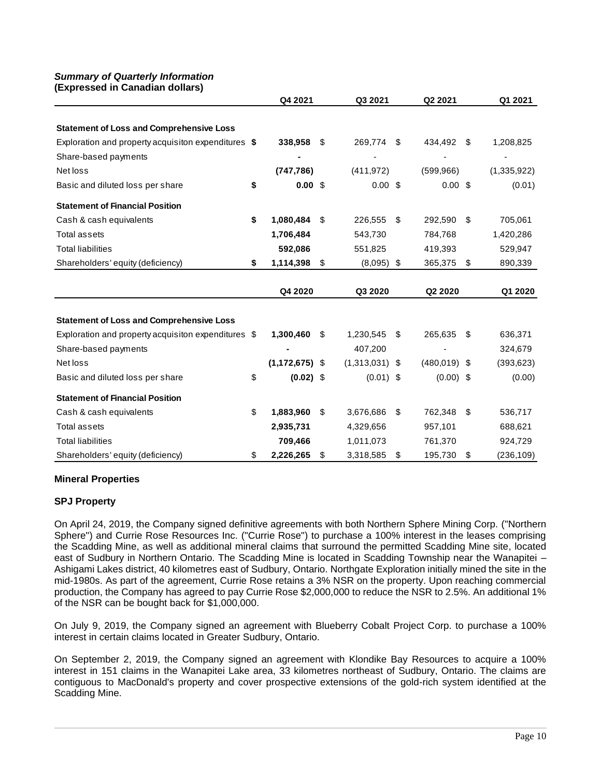#### *Summary of Quarterly Information*  **(Expressed in Canadian dollars)**

| (Expressed in Ganadian dollars)                     |                   |    |                  |                |                 |
|-----------------------------------------------------|-------------------|----|------------------|----------------|-----------------|
|                                                     | Q4 2021           |    | Q3 2021          | Q2 2021        | Q1 2021         |
|                                                     |                   |    |                  |                |                 |
| <b>Statement of Loss and Comprehensive Loss</b>     |                   |    |                  |                |                 |
| Exploration and property acquisiton expenditures \$ | 338,958           | \$ | 269,774          | \$<br>434,492  | \$<br>1,208,825 |
| Share-based payments                                |                   |    |                  |                |                 |
| Net loss                                            | (747, 786)        |    | (411, 972)       | (599, 966)     | (1,335,922)     |
| Basic and diluted loss per share                    | \$<br>$0.00$ \$   |    | $0.00$ \$        | $0.00$ \$      | (0.01)          |
| <b>Statement of Financial Position</b>              |                   |    |                  |                |                 |
| Cash & cash equivalents                             | \$<br>1,080,484   | \$ | 226,555          | \$<br>292,590  | \$<br>705,061   |
| Total assets                                        | 1,706,484         |    | 543,730          | 784,768        | 1,420,286       |
| <b>Total liabilities</b>                            | 592,086           |    | 551,825          | 419,393        | 529,947         |
| Shareholders' equity (deficiency)                   | \$<br>1,114,398   | \$ | $(8,095)$ \$     | 365,375        | \$<br>890,339   |
|                                                     |                   |    |                  |                |                 |
|                                                     | Q4 2020           |    | Q3 2020          | Q2 2020        | Q1 2020         |
|                                                     |                   |    |                  |                |                 |
| <b>Statement of Loss and Comprehensive Loss</b>     |                   |    |                  |                |                 |
| Exploration and property acquisiton expenditures \$ | 1,300,460         | S  | 1,230,545        | \$<br>265,635  | \$<br>636,371   |
| Share-based payments                                |                   |    | 407,200          |                | 324,679         |
| Net loss                                            | $(1,172,675)$ \$  |    | $(1,313,031)$ \$ | $(480,019)$ \$ | (393, 623)      |
| Basic and diluted loss per share                    | \$<br>$(0.02)$ \$ |    | $(0.01)$ \$      | $(0.00)$ \$    | (0.00)          |
| <b>Statement of Financial Position</b>              |                   |    |                  |                |                 |
| Cash & cash equivalents                             | \$<br>1,883,960   | \$ | 3,676,686        | \$<br>762,348  | \$<br>536,717   |
| <b>Total assets</b>                                 | 2,935,731         |    | 4,329,656        | 957,101        | 688,621         |
| <b>Total liabilities</b>                            | 709,466           |    | 1,011,073        | 761,370        | 924,729         |
| Shareholders' equity (deficiency)                   | \$<br>2,226,265   | \$ | 3,318,585        | \$<br>195,730  | \$<br>(236,109) |

## **Mineral Properties**

## **SPJ Property**

On April 24, 2019, the Company signed definitive agreements with both Northern Sphere Mining Corp. ("Northern Sphere") and Currie Rose Resources Inc. ("Currie Rose") to purchase a 100% interest in the leases comprising the Scadding Mine, as well as additional mineral claims that surround the permitted Scadding Mine site, located east of Sudbury in Northern Ontario. The Scadding Mine is located in Scadding Township near the Wanapitei – Ashigami Lakes district, 40 kilometres east of Sudbury, Ontario. Northgate Exploration initially mined the site in the mid-1980s. As part of the agreement, Currie Rose retains a 3% NSR on the property. Upon reaching commercial production, the Company has agreed to pay Currie Rose \$2,000,000 to reduce the NSR to 2.5%. An additional 1% of the NSR can be bought back for \$1,000,000.

On July 9, 2019, the Company signed an agreement with Blueberry Cobalt Project Corp. to purchase a 100% interest in certain claims located in Greater Sudbury, Ontario.

On September 2, 2019, the Company signed an agreement with Klondike Bay Resources to acquire a 100% interest in 151 claims in the Wanapitei Lake area, 33 kilometres northeast of Sudbury, Ontario. The claims are contiguous to MacDonald's property and cover prospective extensions of the gold-rich system identified at the Scadding Mine.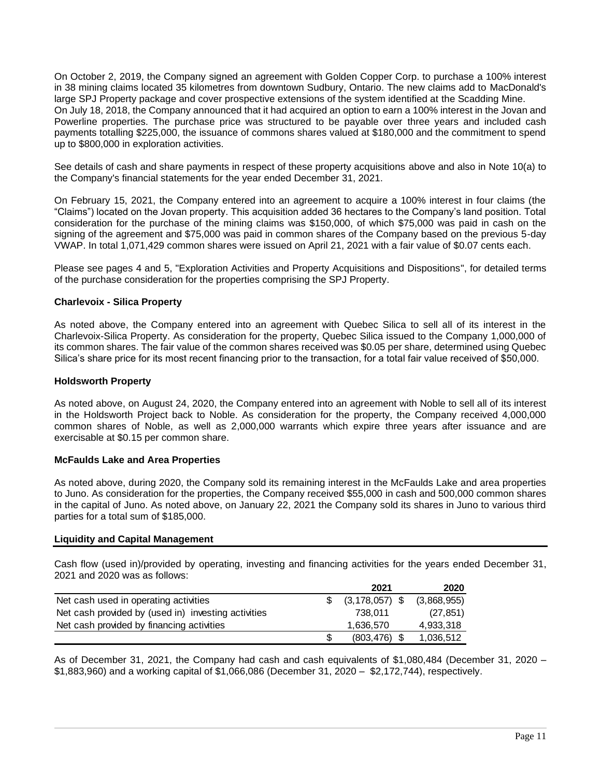On October 2, 2019, the Company signed an agreement with Golden Copper Corp. to purchase a 100% interest in 38 mining claims located 35 kilometres from downtown Sudbury, Ontario. The new claims add to MacDonald's large SPJ Property package and cover prospective extensions of the system identified at the Scadding Mine. On July 18, 2018, the Company announced that it had acquired an option to earn a 100% interest in the Jovan and Powerline properties. The purchase price was structured to be payable over three years and included cash payments totalling \$225,000, the issuance of commons shares valued at \$180,000 and the commitment to spend up to \$800,000 in exploration activities.

See details of cash and share payments in respect of these property acquisitions above and also in Note 10(a) to the Company's financial statements for the year ended December 31, 2021.

On February 15, 2021, the Company entered into an agreement to acquire a 100% interest in four claims (the "Claims") located on the Jovan property. This acquisition added 36 hectares to the Company's land position. Total consideration for the purchase of the mining claims was \$150,000, of which \$75,000 was paid in cash on the signing of the agreement and \$75,000 was paid in common shares of the Company based on the previous 5-day VWAP. In total 1,071,429 common shares were issued on April 21, 2021 with a fair value of \$0.07 cents each.

Please see pages 4 and 5, "Exploration Activities and Property Acquisitions and Dispositions", for detailed terms of the purchase consideration for the properties comprising the SPJ Property.

### **Charlevoix - Silica Property**

As noted above, the Company entered into an agreement with Quebec Silica to sell all of its interest in the Charlevoix-Silica Property. As consideration for the property, Quebec Silica issued to the Company 1,000,000 of its common shares. The fair value of the common shares received was \$0.05 per share, determined using Quebec Silica's share price for its most recent financing prior to the transaction, for a total fair value received of \$50,000.

#### **Holdsworth Property**

As noted above, on August 24, 2020, the Company entered into an agreement with Noble to sell all of its interest in the Holdsworth Project back to Noble. As consideration for the property, the Company received 4,000,000 common shares of Noble, as well as 2,000,000 warrants which expire three years after issuance and are exercisable at \$0.15 per common share.

#### **McFaulds Lake and Area Properties**

As noted above, during 2020, the Company sold its remaining interest in the McFaulds Lake and area properties to Juno. As consideration for the properties, the Company received \$55,000 in cash and 500,000 common shares in the capital of Juno. As noted above, on January 22, 2021 the Company sold its shares in Juno to various third parties for a total sum of \$185,000.

#### **Liquidity and Capital Management**

Cash flow (used in)/provided by operating, investing and financing activities for the years ended December 31, 2021 and 2020 was as follows:

|                                                     | 2021               | 2020        |
|-----------------------------------------------------|--------------------|-------------|
| Net cash used in operating activities               | $(3, 178, 057)$ \$ | (3,868,955) |
| Net cash provided by (used in) investing activities | 738.011            | (27, 851)   |
| Net cash provided by financing activities           | 1.636.570          | 4,933,318   |
|                                                     | $(803, 476)$ \$    | 1,036,512   |

As of December 31, 2021, the Company had cash and cash equivalents of \$1,080,484 (December 31, 2020 – \$1,883,960) and a working capital of \$1,066,086 (December 31, 2020 – \$2,172,744), respectively.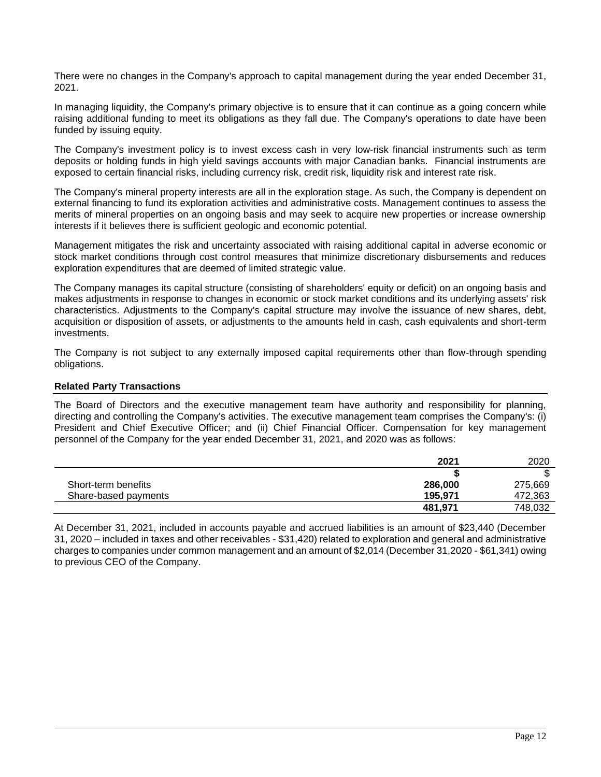There were no changes in the Company's approach to capital management during the year ended December 31, 2021.

In managing liquidity, the Company's primary objective is to ensure that it can continue as a going concern while raising additional funding to meet its obligations as they fall due. The Company's operations to date have been funded by issuing equity.

The Company's investment policy is to invest excess cash in very low-risk financial instruments such as term deposits or holding funds in high yield savings accounts with major Canadian banks. Financial instruments are exposed to certain financial risks, including currency risk, credit risk, liquidity risk and interest rate risk.

The Company's mineral property interests are all in the exploration stage. As such, the Company is dependent on external financing to fund its exploration activities and administrative costs. Management continues to assess the merits of mineral properties on an ongoing basis and may seek to acquire new properties or increase ownership interests if it believes there is sufficient geologic and economic potential.

Management mitigates the risk and uncertainty associated with raising additional capital in adverse economic or stock market conditions through cost control measures that minimize discretionary disbursements and reduces exploration expenditures that are deemed of limited strategic value.

The Company manages its capital structure (consisting of shareholders' equity or deficit) on an ongoing basis and makes adjustments in response to changes in economic or stock market conditions and its underlying assets' risk characteristics. Adjustments to the Company's capital structure may involve the issuance of new shares, debt, acquisition or disposition of assets, or adjustments to the amounts held in cash, cash equivalents and short-term investments.

The Company is not subject to any externally imposed capital requirements other than flow-through spending obligations.

### **Related Party Transactions**

The Board of Directors and the executive management team have authority and responsibility for planning, directing and controlling the Company's activities. The executive management team comprises the Company's: (i) President and Chief Executive Officer; and (ii) Chief Financial Officer. Compensation for key management personnel of the Company for the year ended December 31, 2021, and 2020 was as follows:

|                      | 2021    | 2020    |
|----------------------|---------|---------|
|                      |         | ጦ<br>Œ  |
| Short-term benefits  | 286,000 | 275,669 |
| Share-based payments | 195.971 | 472,363 |
|                      | 481,971 | 748,032 |

At December 31, 2021, included in accounts payable and accrued liabilities is an amount of \$23,440 (December 31, 2020 – included in taxes and other receivables - \$31,420) related to exploration and general and administrative charges to companies under common management and an amount of \$2,014 (December 31,2020 - \$61,341) owing to previous CEO of the Company.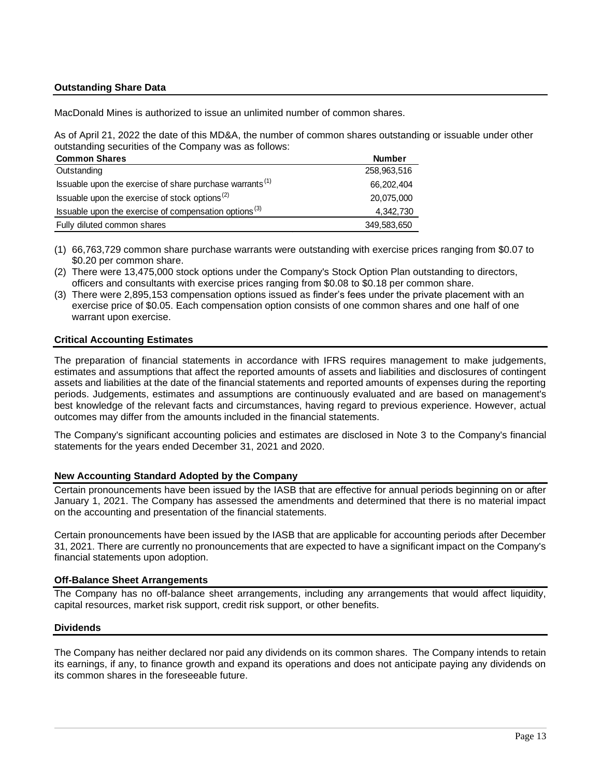## **Outstanding Share Data**

MacDonald Mines is authorized to issue an unlimited number of common shares.

As of April 21, 2022 the date of this MD&A, the number of common shares outstanding or issuable under other outstanding securities of the Company was as follows:

| <b>Common Shares</b>                                                 | <b>Number</b> |
|----------------------------------------------------------------------|---------------|
| Outstanding                                                          | 258,963,516   |
| Issuable upon the exercise of share purchase warrants <sup>(1)</sup> | 66,202,404    |
| Issuable upon the exercise of stock options $^{(2)}$                 | 20,075,000    |
| Issuable upon the exercise of compensation options $(3)$             | 4,342,730     |
| Fully diluted common shares                                          | 349,583,650   |

- (1) 66,763,729 common share purchase warrants were outstanding with exercise prices ranging from \$0.07 to \$0.20 per common share.
- (2) There were 13,475,000 stock options under the Company's Stock Option Plan outstanding to directors, officers and consultants with exercise prices ranging from \$0.08 to \$0.18 per common share.
- (3) There were 2,895,153 compensation options issued as finder's fees under the private placement with an exercise price of \$0.05. Each compensation option consists of one common shares and one half of one warrant upon exercise.

#### **Critical Accounting Estimates**

The preparation of financial statements in accordance with IFRS requires management to make judgements, estimates and assumptions that affect the reported amounts of assets and liabilities and disclosures of contingent assets and liabilities at the date of the financial statements and reported amounts of expenses during the reporting periods. Judgements, estimates and assumptions are continuously evaluated and are based on management's best knowledge of the relevant facts and circumstances, having regard to previous experience. However, actual outcomes may differ from the amounts included in the financial statements.

The Company's significant accounting policies and estimates are disclosed in Note 3 to the Company's financial statements for the years ended December 31, 2021 and 2020.

#### **New Accounting Standard Adopted by the Company**

Certain pronouncements have been issued by the IASB that are effective for annual periods beginning on or after January 1, 2021. The Company has assessed the amendments and determined that there is no material impact on the accounting and presentation of the financial statements.

Certain pronouncements have been issued by the IASB that are applicable for accounting periods after December 31, 2021. There are currently no pronouncements that are expected to have a significant impact on the Company's financial statements upon adoption.

#### **Off-Balance Sheet Arrangements**

The Company has no off-balance sheet arrangements, including any arrangements that would affect liquidity, capital resources, market risk support, credit risk support, or other benefits.

#### **Dividends**

The Company has neither declared nor paid any dividends on its common shares. The Company intends to retain its earnings, if any, to finance growth and expand its operations and does not anticipate paying any dividends on its common shares in the foreseeable future.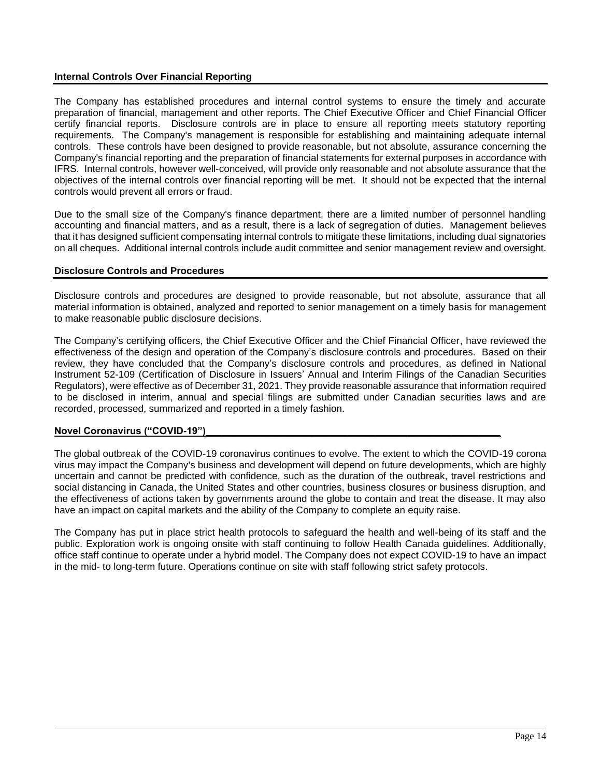## **Internal Controls Over Financial Reporting**

The Company has established procedures and internal control systems to ensure the timely and accurate preparation of financial, management and other reports. The Chief Executive Officer and Chief Financial Officer certify financial reports. Disclosure controls are in place to ensure all reporting meets statutory reporting requirements. The Company's management is responsible for establishing and maintaining adequate internal controls. These controls have been designed to provide reasonable, but not absolute, assurance concerning the Company's financial reporting and the preparation of financial statements for external purposes in accordance with IFRS. Internal controls, however well-conceived, will provide only reasonable and not absolute assurance that the objectives of the internal controls over financial reporting will be met. It should not be expected that the internal controls would prevent all errors or fraud.

Due to the small size of the Company's finance department, there are a limited number of personnel handling accounting and financial matters, and as a result, there is a lack of segregation of duties. Management believes that it has designed sufficient compensating internal controls to mitigate these limitations, including dual signatories on all cheques. Additional internal controls include audit committee and senior management review and oversight.

### **Disclosure Controls and Procedures**

Disclosure controls and procedures are designed to provide reasonable, but not absolute, assurance that all material information is obtained, analyzed and reported to senior management on a timely basis for management to make reasonable public disclosure decisions.

The Company's certifying officers, the Chief Executive Officer and the Chief Financial Officer, have reviewed the effectiveness of the design and operation of the Company's disclosure controls and procedures. Based on their review, they have concluded that the Company's disclosure controls and procedures, as defined in National Instrument 52-109 (Certification of Disclosure in Issuers' Annual and Interim Filings of the Canadian Securities Regulators), were effective as of December 31, 2021. They provide reasonable assurance that information required to be disclosed in interim, annual and special filings are submitted under Canadian securities laws and are recorded, processed, summarized and reported in a timely fashion.

## Novel Coronavirus ("COVID-19")

The global outbreak of the COVID-19 coronavirus continues to evolve. The extent to which the COVID-19 corona virus may impact the Company's business and development will depend on future developments, which are highly uncertain and cannot be predicted with confidence, such as the duration of the outbreak, travel restrictions and social distancing in Canada, the United States and other countries, business closures or business disruption, and the effectiveness of actions taken by governments around the globe to contain and treat the disease. It may also have an impact on capital markets and the ability of the Company to complete an equity raise.

The Company has put in place strict health protocols to safeguard the health and well-being of its staff and the public. Exploration work is ongoing onsite with staff continuing to follow Health Canada guidelines. Additionally, office staff continue to operate under a hybrid model. The Company does not expect COVID-19 to have an impact in the mid- to long-term future. Operations continue on site with staff following strict safety protocols.